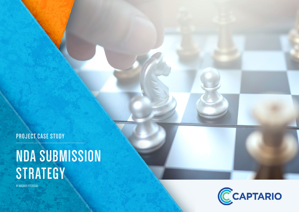**PROJECT CASE STUDY**

# **NDA SUBMISSION STRATEGY**

BY MAGNUS YTTERSTAD

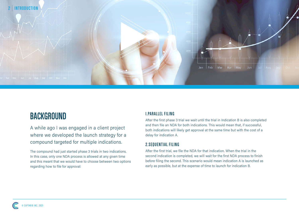

### **BACKGROUND**

A while ago I was engaged in a client project where we developed the launch strategy for a compound targeted for multiple indications.

The compound had just started phase 3 trials in two indications. In this case, only one NDA process is allowed at any given time and this meant that we would have to choose between two options regarding how to file for approval:

#### **1.PARALLEL FILING**

After the first phase 3 trial we wait until the trial in Indication B is also completed and then file an NDA for both indications. This would mean that, if successful, both indications will likely get approval at the same time but with the cost of a delay for indication A.

### **2.SEQUENTIAL FILING**

After the first trial, we file the NDA for that indication. When the trial in the second indication is completed, we will wait for the first NDA process to finish before filing the second. This scenario would mean indication A is launched as early as possible, but at the expense of time to launch for indication B.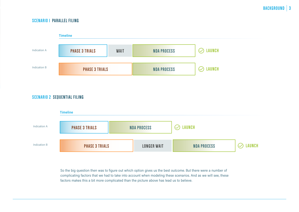### **SCENARIO 1 PARALLEL FILING**



#### **SCENARIO 2 SEQUENTIAL FILING**



So the big question then was to figure out which option gives us the best outcome. But there were a number of complicating factors that we had to take into account when modeling these scenarios. And as we will see, these factors makes this a bit more complicated than the picture above has lead us to believe.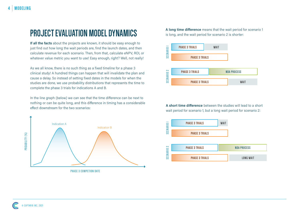### **PROJECT EVALUATION MODEL DYNAMICS**

**If all the facts** about the projects are known, it should be easy enough to just find out how long the wait periods are, find the launch dates, and then calculate revenue for each scenario. Then, from that, calculate eNPV, ROI, or whatever value metric you want to use! Easy enough, right? Well, not really!

As we all know, there is no such thing as a fixed timeline for a phase 3 clinical study! A hundred things can happen that will invalidate the plan and cause a delay. So instead of setting fixed dates in the models for when the studies are done, we use probability distributions that represents the time to complete the phase 3 trials for indications A and B.

In the line graph (below) we can see that the time difference can be next to nothing or can be quite long, and this difference in timing has a considerable effect downstream for the two scenarios:



**PHASE 3 COMPETION DATE**

**A long time difference** means that the wait period for scenario 1 is long, and the wait period for scenario 2 is shorter:



**A short time difference** between the studies will lead to a short wait period for scenario 1, but a long wait period for scenario 2:

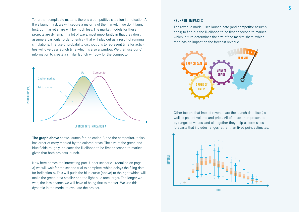To further complicate matters, there is a competitive situation in Indication A. If we launch first, we will secure a majority of the market. If we don't launch first, our market share will be much less. The market models for these projects are dynamic in a lot of ways, most importantly in that they don't assume a particular order of entry - that will play out as a result of running simulations. The use of probability distributions to represent time for activities will give us a launch time which is also a window. We then use our CI information to create a similar launch window for the competitor.



**The graph above** shows launch for Indication A and the competitor. It also has order of entry marked by the colored areas. The size of the green and blue fields roughly indicates the likelihood to be first or second to market given that both projects launch.

Now here comes the interesting part: Under scenario 1 (detailed on page 3) we will wait for the second trial to complete, which delays the filing date for indication A. This will push the blue curve (above) to the right which will make the green area smaller and the light blue area larger. The longer we wait, the less chance we will have of being first to market! We use this dynamic in the model to evaluate the project.

#### **REVENUE IMPACTS**

The revenue model uses launch date (and competitor assumptions) to find out the likelihood to be first or second to market, which in turn determines the size of the market share, which then has an impact on the forecast revenue.



Other factors that impact revenue are the launch date itself, as well as patient volume and price. All of these are represented by ranges of values, and all together they help us form sales forecasts that includes ranges rather than fixed point estimates.

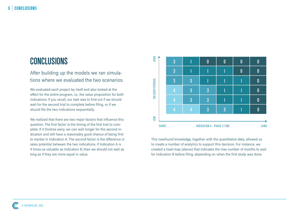## **CONCLUSIONS**

After building up the models we ran simulations where we evaluated the two scenarios.

We evaluated each project by itself and also looked at the effect for the entire program, i.e., the value proposition for both indications. If you recall, our task was to find out if we should wait for the second trial to complete before filing, or if we should file the two indications sequentially.

We realized that there are two major factors that influence this question. The first factor is the timing of the first trial to complete. If it finishes early, we can wait longer for the second indication and still have a reasonably good chance of being first to market in Indication A. The second factor is the difference in sales potential between the two indications. If Indication A is 4 times as valuable as Indication B, then we should not wait as long as if they are more equal in value.



This newfound knowledge, together with the quantitative data, allowed us to create a number of analytics to support this decision. For instance, we created a heat-map (above) that indicates the max number of months to wait for Indication B before filing, depending on when the first study was done.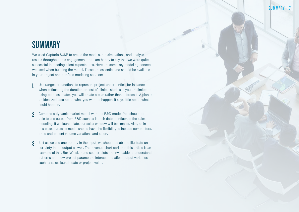### **SUMMARY**

We used Captario SUM® to create the models, run simulations, and analyze results throughout this engagement and I am happy to say that we were quite successful in meeting client expectations. Here are some key modeling concepts we used when building the model. These are essential and should be available in your project and portfolio modeling solution:

- **1.** Use ranges or functions to represent project uncertainties, for instance when estimating the duration or cost of clinical studies. If you are limited to using point estimates, you will create a plan rather than a forecast. A plan is an idealized idea about what you want to happen, it says little about what could happen.
- **2.** Combine a dynamic market model with the R&D model. You should be able to use output from R&D such as launch date to influence the sales modeling. If we launch late, our sales window will be smaller. Also, as in this case, our sales model should have the flexibility to include competitors, price and patient volume variations and so on.
- **3.** Just as we use uncertainty in the input, we should be able to illustrate uncertainty in the output as well. The revenue chart earlier in this article is an example of this. Box-Whisker and scatter plots are invaluable to understand patterns and how project parameters interact and affect output variables such as sales, launch date or project value.